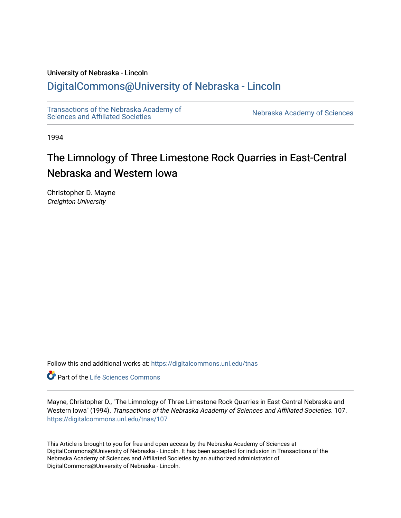## University of Nebraska - Lincoln

# [DigitalCommons@University of Nebraska - Lincoln](https://digitalcommons.unl.edu/)

[Transactions of the Nebraska Academy of](https://digitalcommons.unl.edu/tnas)  Transactions of the Nebraska Academy of Sciences<br>Sciences and Affiliated Societies

1994

# The Limnology of Three Limestone Rock Quarries in East-Central Nebraska and Western Iowa

Christopher D. Mayne Creighton University

Follow this and additional works at: [https://digitalcommons.unl.edu/tnas](https://digitalcommons.unl.edu/tnas?utm_source=digitalcommons.unl.edu%2Ftnas%2F107&utm_medium=PDF&utm_campaign=PDFCoverPages) 

Part of the [Life Sciences Commons](http://network.bepress.com/hgg/discipline/1016?utm_source=digitalcommons.unl.edu%2Ftnas%2F107&utm_medium=PDF&utm_campaign=PDFCoverPages) 

Mayne, Christopher D., "The Limnology of Three Limestone Rock Quarries in East-Central Nebraska and Western Iowa" (1994). Transactions of the Nebraska Academy of Sciences and Affiliated Societies. 107. [https://digitalcommons.unl.edu/tnas/107](https://digitalcommons.unl.edu/tnas/107?utm_source=digitalcommons.unl.edu%2Ftnas%2F107&utm_medium=PDF&utm_campaign=PDFCoverPages) 

This Article is brought to you for free and open access by the Nebraska Academy of Sciences at DigitalCommons@University of Nebraska - Lincoln. It has been accepted for inclusion in Transactions of the Nebraska Academy of Sciences and Affiliated Societies by an authorized administrator of DigitalCommons@University of Nebraska - Lincoln.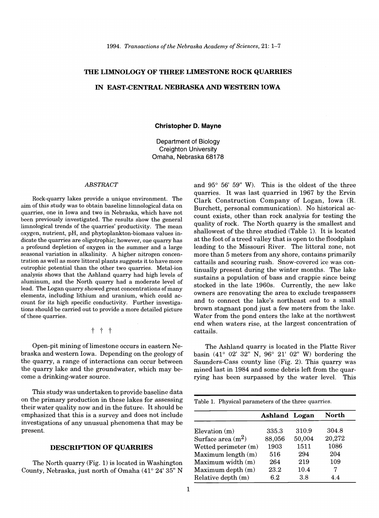# **THE LIMNOLOGY OF THREE LIMESTONE ROCK QUARRIES**

### **IN EAST-CENTRAL NEBRASKA AND WESTERN IOWA**

#### **Christopher D. Mayne**

Department of Biology Creighton University Omaha, Nebraska 68178

#### *ABSTRACT*

Rock-quarry lakes provide a unique environment. The aim of this study was to obtain baseline limnological data on quarries, one in Iowa and two in Nebraska, which have not been previously investigated. The results show the general limnological trends of the quarries' productivity. The mean oxygen, nutrient, pH, and phytoplankton-biomass values indicate the quarries are oligotrophic; however, one quarry has a profound depletion of oxygen in the summer and a large seasonal variation in alkalinity. A higher nitrogen concentration as well as more littoral plants suggests it to have more eutrophic potential than the other two quarries. Metal-ion analysis shows that the Ashland quarry had high levels of aluminum, and the North quarry had a moderate level of lead. The Logan quarry showed great concentrations of many elements, including lithium and uranium, which could account for its high specific conductivity. Further investigations should be carried out to provide a more detailed picture of these quarries.

t t t

Open-pit mining of limestone occurs in eastern Nebraska and western Iowa. Depending on the geology of the quarry, a range of interactions can occur between the quarry lake and the groundwater, which may become a drinking-water source.

This study was undertaken to provide baseline data on the primary production in these lakes for assessing their water quality now and in the future. It should be emphasized that this is a survey and does not include investigations of any unusual phenomena that may be present.

### **DESCRIPTION OF QUARRIES**

The North quarry (Fig. 1) is located in Washington County, Nebraska, just north of Omaha (41° 24' 35" N

and 95° 56' 59" W). This is the oldest of the three quarries. It was last quarried in 1967 by the Ervin Clark Construction Company of Logan, Iowa (R. Burchett, personal communication). No historical account exists, other than rock analysis for testing the quality of rock. The North quarry is the smallest and shallowest of the three studied (Table 1). It is located at the foot of a treed valley that is open to the floodplain leading to the Missouri River. The littoral zone, not more than 5 meters from any shore, contains primarily cattails and scouring rush. Snow-covered ice was continually present during the winter months. The lake sustains a population of bass and crappie since being stocked in the late 1960s. Currently, the new lake owners are renovating the area to exclude trespassers and to connect the lake's northeast end to a small brown stagnant pond just a few meters from the lake. Water from the pond enters the lake at the northwest end when waters rise, at the largest concentration of cattails.

The Ashland quarry is located in the Platte River basin (41° 02' 32" N, 96° 21' 02" W) bordering the Saunders-Cass county line (Fig. 2). This quarry was mined last in 1984 and some debris left from the quarrying has been surpassed by the water level. This

|  | Table 1. Physical parameters of the three quarries. |  |  |
|--|-----------------------------------------------------|--|--|
|  |                                                     |  |  |

|                      | <b>Ashland Logan</b> |        | North  |
|----------------------|----------------------|--------|--------|
|                      |                      |        |        |
| Elevation $(m)$      | 335.3                | 310.9  | 304.8  |
| Surface area $(m^2)$ | 88,056               | 50,004 | 20,272 |
| Wetted perimeter (m) | 1903                 | 1511   | 1086   |
| Maximum length (m)   | 516                  | 294    | 204    |
| Maximum width (m)    | 264                  | 219    | 109    |
| Maximum depth (m)    | 23.2                 | 10.4   | 7      |
| Relative depth (m)   | 6.2                  | 3.8    | 44     |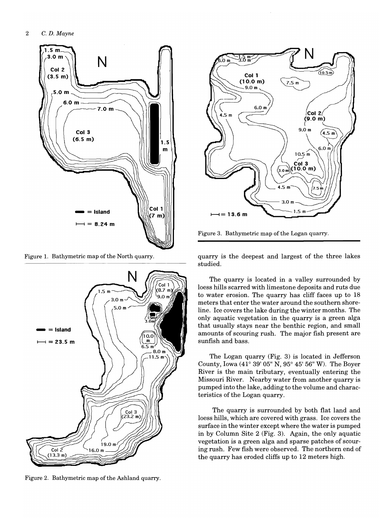

Figure 1. Bathymetric map of the North quarry.



Figure 2. Bathymetric map of the Ashland quarry.



Figure 3. Bathymetric map of the Logan quarry.

quarry is the deepest and largest of the three lakes studied.

The quarry is located in a valley surrounded by loess hills scarred with limestone deposits and ruts due to water erosion. The quarry has cliff faces up to 18 meters that enter the water around the southern shoreline. Ice covers the lake during the winter months. The only aquatic vegetation in the quarry is a green alga that usually stays near the benthic region, and small amounts of scouring rush. The major fish present are sunfish and bass.

The Logan quarry (Fig. 3) is located in Jefferson County, Iowa (41° 39' 05" N, 95° 45' 56" W). The Boyer River is the main tributary, eventually entering the Missouri River. Nearby water from another quarry is pumped into the lake, adding to the volume and characteristics of the Logan quarry.

The quarry is surrounded by both flat land and loess hills, which are covered with grass. Ice covers the surface in the winter except where the water is pumped in by Column Site 2 (Fig. 3). Again, the only aquatic vegetation is a green alga and sparse patches of scouring rush. Few fish were observed. The northern end of the quarry has eroded cliffs up to 12 meters high.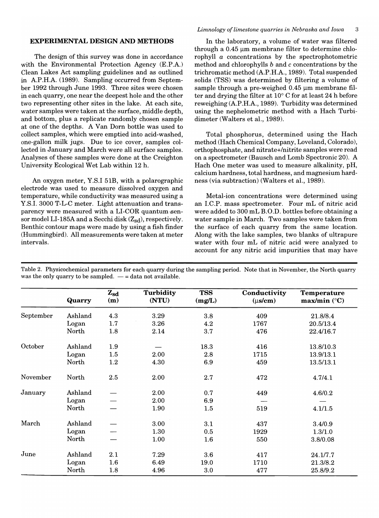#### EXPERIMENTAL DESIGN AND METHODS

The design of this survey was done in accordance with the Environmental Protection Agency (E.P.A.) Clean Lakes Act sampling guidelines and as outlined in A.P.H.A. (1989). Sampling occurred from September 1992 through June 1993. Three sites were chosen in each quarry, one near the deepest hole and the other two representing other sites in the lake. At each site, water samples were taken at the surface, middle depth, and bottom, plus a replicate randomly chosen sample at one of the depths. A Van Dorn bottle was used to collect samples, which were emptied into acid-washed, one-gallon milk jugs. Due to ice cover, samples collected in January and March were all surface samples. Analyses of these samples were done at the Creighton University Ecological Wet Lab within 12 h.

An oxygen meter, Y.S.I 51B, with a polarographic electrode was used to measure dissolved oxygen and temperature, while conductivity was measured using a Y.S.I. 3000 T-L-C meter. Light attenuation and transparency were measured with a LI-COR quantum sensor model LI-185A and a Secchi disk  $(Z_{sd})$ , respectively. Benthic contour maps were made by using a fish finder (Hummingbird). All measurements were taken at meter intervals.

In the laboratory, a volume of water was filtered through a  $0.45 \mu m$  membrane filter to determine chlorophyll *a* concentrations by the spectrophotometric method and chlorophylls  $b$  and  $c$  concentrations by the trichromatic method (A.P.H.A., 1989). Total suspended solids (TSS) was determined by filtering a volume of sample through a pre-weighed 0.45 um membrane filter and drying the filter at 10° C for at least 24 h before reweighing (A.P.H.A., 1989). Turbidity was determined using the nephelometric method with a Hach Turbidimeter (Walters et al., 1989).

Total phosphorus, determined using the Hach method (Hach Chemical Company, Loveland, Colorado), orthophosphate, and nitrate+/nitrite samples were read on a spectrometer (Bausch and Lomb Spectronic 20). A Hach One meter was used to measure alkalinity, pH, calcium hardness, total hardness, and magnesium hardness (via subtraction) (Walters et al., 1989).

Metal-ion concentrations were determined using an I.C.P. mass spectrometer. Four mL of nitric acid were added to 300 mL B.O.D. bottles before obtaining a water sample in March. Two samples were taken from the surface of each quarry from the same location. Along with the lake samples, two blanks of ultrapure water with four mL of nitric acid were analyzed to account for any nitric acid impurities that may have

|           | Quarry  | $Z_{sd}$<br>(m)  | Turbidity<br>(NTU) | <b>TSS</b><br>(mg/L) | Conductivity<br>$(\mu s/cm)$ | <b>Temperature</b><br>$max/min$ (°C) |
|-----------|---------|------------------|--------------------|----------------------|------------------------------|--------------------------------------|
| September | Ashland | 4.3              | 3.29               | 3.8                  | 409                          | 21.8/8.4                             |
|           | Logan   | 1.7              | 3.26               | 4.2                  | 1767                         | 20.5/13.4                            |
|           | North   | 1.8              | 2.14               | 3.7                  | 476                          | 22.4/16.7                            |
| October   | Ashland | 1.9              |                    | 18.3                 | 416                          | 13.8/10.3                            |
|           | Logan   | 1.5              | 2.00               | 2.8                  | 1715                         | 13.9/13.1                            |
|           | North   | 1.2              | 4.30               | 6.9                  | 459                          | 13.5/13.1                            |
| November  | North   | 2.5              | 2.00               | 2.7                  | 472                          | 4.7/4.1                              |
| January   | Ashland |                  | 2.00               | 0.7                  | 449                          | 4.6/0.2                              |
|           | Logan   |                  | 2.00               | 6.9                  |                              |                                      |
|           | North   |                  | 1.90               | 1.5                  | 519                          | 4.1/1.5                              |
| March     | Ashland |                  | 3.00               | 3.1                  | 437                          | 3.4/0.9                              |
|           | Logan   |                  | 1.30               | 0.5                  | 1929                         | 1.3/1.0                              |
|           | North   |                  | 1.00               | 1.6                  | 550                          | 3.8/0.08                             |
| June      | Ashland | 2.1              | 7.29               | 3.6                  | 417                          | 24.1/7.7                             |
|           | Logan   | $1.6\phantom{0}$ | 6.49               | 19.0                 | 1710                         | 21.3/8.2                             |
|           | North   | 1.8              | 4.96               | 3.0                  | 477                          | 25.8/9.2                             |

Table 2. Physicochemical parameters for each quarry during the sampling period. Note that in November, the North quarry was the only quarry to be sampled.  $-$  = data not available.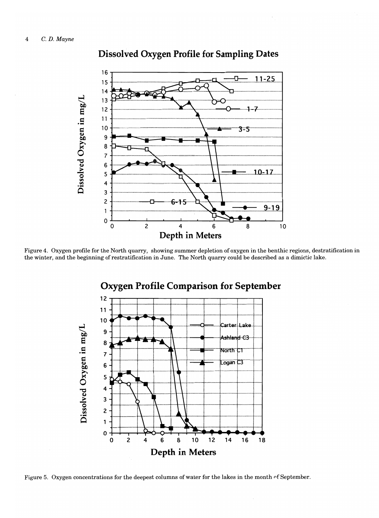

# **Dissolved Oxygen Profile for Sampling Dates**

Figure 4. Oxygen profile for the North quarry, showing summer depletion of oxygen in the benthic regions, destratification in the winter, and the beginning of restratification in June. The North quarry could be described as a dimictic lake.



# **Oxygen Profile Comparison for September**

Figure 5. Oxygen concentrations for the deepest columns of water for the lakes in the month of September.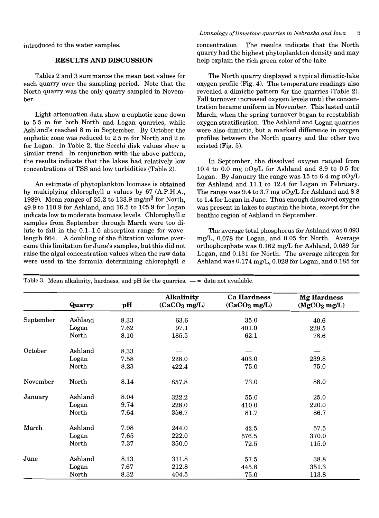introduced to the water samples.

### RESULTS AND DISCUSSION

Tables 2 and 3 summarize the mean test values for each quarry over the sampling period. Note that the North quarry was the only quarry sampled in November.

Light-attenuation data show a euphotic zone down to 5.5 m for both North and Logan quarries, while Ashland's reached 8 m in September. By October the euphotic zone was reduced to 2.5 m for North and 2 m for Logan. In Table 2, the Secchi disk values show a similar trend. In conjunction with the above pattern, the results indicate that the lakes had relatively low concentrations ofTSS and low turbidities (Table 2).

An estimate of phytoplankton biomass is obtained by multiplying chlorophyll *a* values by 67 (A.P.H.A., 1989). Mean ranges of 35.2 to 133.9 mg/m<sup>3</sup> for North, 49.9 to 110.9 for Ashland, and 16.5 to 105.9 for Logan indicate low to moderate biomass levels. Chlorophyll *a*  samples from September through March were too dilute to fall in the 0.1-1.0 absorption range for wavelength 664. A doubling of the filtration volume overcame this limitation for June's samples, but this did not raise the algal concentration values when the raw data were used in the formula determining chlorophyll *a*  concentration. The results indicate that the North quarry had the highest phytoplankton density and may help explain the rich green color of the lake.

The North quarry displayed a typical dimictic-Iake oxygen profile (Fig. 4). The temperature readings also revealed a dimictic pattern for the quarries (Table 2). Fall turnover increased oxygen levels until the concentration became uniform in November. This lasted until March, when the spring turnover began to reestablish oxygen stratification. The Ashland and Logan quarries were also dimictic, but a marked difference in oxygen profiles between the North quarry and the other two existed (Fig. 5).

In September, the dissolved oxygen ranged from 10.4 to 0.0 mg  $DO<sub>2</sub>/L$  for Ashland and 8.9 to 0.5 for Logan. By January the range was 15 to  $6.4$  mg  $\rm{D}O_2/L$ for Ashland and 11.1 to 12.4 for Logan in February. The range was  $9.4$  to  $3.7$  mg  $DQ_2/L$  for Ashland and  $8.8$ to 1.4 for Logan in June. Thus enough dissolved oxygen was present in lakes to sustain the biota, except for the benthic region of Ashland in September.

The average total phosphorus for Ashland was 0.093 mg/L, 0.078 for Logan, and 0.05 for North. Average orthophosphate was 0.162 mg/L for Ashland, 0.089 for Logan, and 0.131 for North. The average nitrogen for Ashland was 0.174 mg/L, 0.028 for Logan, and 0.185 for

|           | Quarry  | pH   | Alkalinity<br>(CaCO <sub>3</sub> mg/L) | <b>Ca Hardness</b><br>(CaCO <sub>3</sub> mg/L) | <b>Mg Hardness</b><br>(MgCO <sub>3</sub> mg/L) |
|-----------|---------|------|----------------------------------------|------------------------------------------------|------------------------------------------------|
| September | Ashland | 8.33 | 63.6                                   | 35.0                                           | 40.6                                           |
|           | Logan   | 7.62 | 97.1                                   | 401.0                                          | 228.5                                          |
|           | North   | 8.10 | 185.5                                  | 62.1                                           | 78.6                                           |
| October   | Ashland | 8.33 |                                        |                                                |                                                |
|           | Logan   | 7.58 | 228.0                                  | 403.0                                          | 239.8                                          |
|           | North   | 8.23 | 422.4                                  | 75.0                                           | 75.0                                           |
| November  | North   | 8.14 | 857.8                                  | 73.0                                           | 88.0                                           |
| January   | Ashland | 8.04 | 322.2                                  | 55.0                                           | 25.0                                           |
|           | Logan   | 9.74 | 228.0                                  | 410.0                                          | 220.0                                          |
|           | North   | 7.64 | 356.7                                  | 81.7                                           | 86.7                                           |
| March     | Ashland | 7.98 | 244.0                                  | 42.5                                           | 57.5                                           |
|           | Logan   | 7.65 | 222.0                                  | 576.5                                          | 370.0                                          |
|           | North   | 7.37 | 350.0                                  | 72.5                                           | 115.0                                          |
| June      | Ashland | 8.13 | 311.8                                  | 57.5                                           | 38.8                                           |
|           | Logan   | 7.67 | 212.8                                  | 445.8                                          | 351.3                                          |
|           | North   | 8.32 | 404.5                                  | 75.0                                           | 113.8                                          |

Table 3. Mean alkalinity, hardness, and  $pH$  for the quarries.  $-$  = data not available.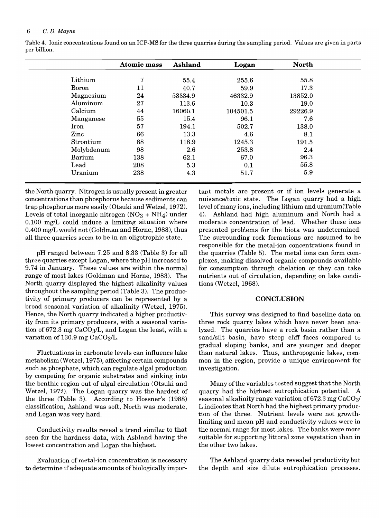#### 6 C. *D. Mayne*

|            | <b>Atomic mass</b> | Ashland | Logan    | <b>North</b> |
|------------|--------------------|---------|----------|--------------|
| Lithium    | 7                  | 55.4    | 255.6    | 55.8         |
| Boron      | 11                 | 40.7    | 59.9     | 17.3         |
| Magnesium  | 24                 | 53334.9 | 46332.9  | 13852.0      |
| Aluminum   | 27                 | 113.6   | 10.3     | 19.0         |
| Calcium    | 44                 | 16060.1 | 104501.5 | 29226.9      |
| Manganese  | 55                 | 15.4    | 96.1     | 7.6          |
| Iron       | 57                 | 194.1   | 502.7    | 138.0        |
| Zinc       | 66                 | 13.3    | 4.6      | 8.1          |
| Strontium  | 88                 | 118.9   | 1245.3   | 191.5        |
| Molybdenum | 98                 | 2.6     | 253.8    | 2.4          |
| Barium     | 138                | 62.1    | 67.0     | 96.3         |
| Lead       | 208                | 5.3     | 0.1      | 55.8         |
| Uranium    | 238                | 4.3     | 51.7     | 5.9          |

Table 4. Ionic concentrations found on.an ICP-MS for the three quarries during the sampling period. Values are given in parts per billion.

the North quarry. Nitrogen is usually present in greater concentrations than phosphorus because sediments can trap phosphorus more easily (Otsuki and Wetzel, 1972). Levels of total inorganic nitrogen  $(NO<sub>3</sub> + NH<sub>4</sub>)$  under  $0.100$  mg/L could induce a limiting situation where 0.400 mg/L would not (Goldman and Horne, 1983), thus all three quarries seem to be in an oligotrophic state.

pH ranged between 7.25 and 8.33 (Table 3) for all three quarries except Logan, where the pH increased to 9.74 in January. These values are within the normal range of most lakes (Goldman and Horne, 1983). The North quarry displayed the highest alkalinity values throughout the sampling period (Table 3). The productivity of primary producers can be represented by a broad seasonal variation of alkalinity (Wetzel, 1975). Hence, the North quarry indicated a higher productivity from its primary producers, with a seasonal variation of 672.3 mg  $CaCO<sub>3</sub>/L$ , and Logan the least, with a variation of 130.9 mg CaCO<sub>3</sub>/L.

Fluctuations in carbonate levels can influence lake metabolism (Wetzel, 1975), affecting certain compounds such as phosphate, which can regulate algal production by competing for organic substrates and sinking into the benthic region out of algal circulation (Otsuki and Wetzel, 1972). The Logan quarry was the hardest of the three (Table 3). According to Hossner's (1988) classification, Ashland was soft, North was moderate, and Logan was very hard.

Conductivity results reveal a trend similar to that seen for the hardness data, with Ashland having the lowest concentration and Logan the highest.

Evaluation of metal-ion concentration is necessary to determine if adequate amounts of biologically impor-

tant metals are present or if ion levels generate a nuisance/toxic state. The Logan quarry had a high level of many ions, including lithium and uranium(Table 4). Ashland had high aluminum and North had a moderate concentration of lead. Whether these ions presented problems for the biota was undetermined. The surrounding rock formations are assumed to be responsible for the metal-ion concentrations found in the quarries (Table 5). The metal ions can form complexes, making dissolved organic compounds available for consumption through chelation or they can take nutrients out of circulation, depending on lake conditions (Wetzel, 1968).

#### **CONCLUSION**

This survey was designed to find baseline data on three rock quarry lakes which have never been analyzed. The quarries have a rock basin rather than a sand/silt basin, have steep cliff faces compared to gradual sloping banks, and are younger and deeper than natural lakes. Thus, anthropogenic lakes, common in the region, provide a unique environment for investigation.

Many of the variables tested suggest that the North quarry had the highest eutrophication potential. A seasonal alkalinity range variation of 672.3 mg  $CaCO<sub>3</sub>/$ L indicates that North had the highest primary production of the three. Nutrient levels were not growthlimiting and mean pH and conductivity values were in the normal range for most lakes. The banks were more suitable for supporting littoral zone vegetation than in the other two lakes.

The Ashland quarry data revealed productivity but the depth and size dilute eutrophication processes.